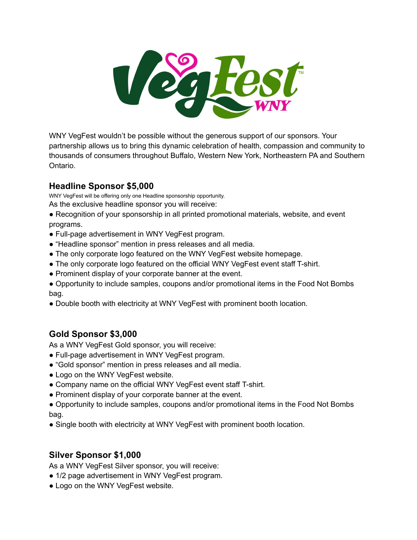

WNY VegFest wouldn't be possible without the generous support of our sponsors. Your partnership allows us to bring this dynamic celebration of health, compassion and community to thousands of consumers throughout Buffalo, Western New York, Northeastern PA and Southern Ontario.

## **Headline Sponsor \$5,000**

WNY VegFest will be offering only one Headline sponsorship opportunity.

As the exclusive headline sponsor you will receive:

- Recognition of your sponsorship in all printed promotional materials, website, and event programs.
- Full-page advertisement in WNY VegFest program.
- "Headline sponsor" mention in press releases and all media.
- The only corporate logo featured on the WNY VegFest website homepage.
- The only corporate logo featured on the official WNY VegFest event staff T-shirt.
- Prominent display of your corporate banner at the event.
- Opportunity to include samples, coupons and/or promotional items in the Food Not Bombs bag.
- Double booth with electricity at WNY VegFest with prominent booth location.

# **Gold Sponsor \$3,000**

As a WNY VegFest Gold sponsor, you will receive:

- Full-page advertisement in WNY VegFest program.
- "Gold sponsor" mention in press releases and all media.
- Logo on the WNY VegFest website.
- Company name on the official WNY VegFest event staff T-shirt.
- Prominent display of your corporate banner at the event.

● Opportunity to include samples, coupons and/or promotional items in the Food Not Bombs bag.

● Single booth with electricity at WNY VegFest with prominent booth location.

# **Silver Sponsor \$1,000**

As a WNY VegFest Silver sponsor, you will receive:

- 1/2 page advertisement in WNY VegFest program.
- Logo on the WNY VegFest website.